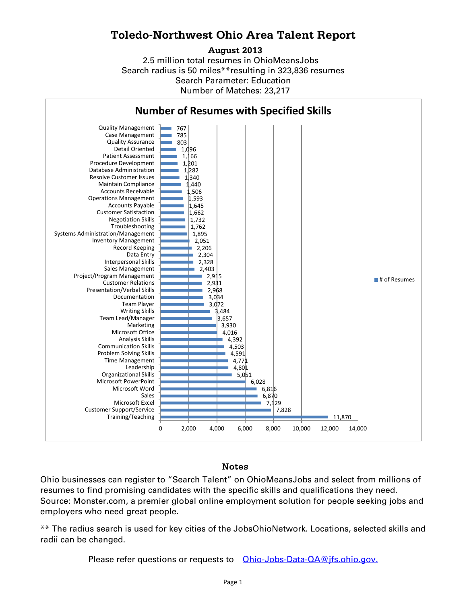## **Toledo-Northwest Ohio Area Talent Report**

## **August 2013**

2.5 million total resumes in OhioMeansJobs Search radius is 50 miles\*\*resulting in 323,836 resumes Number of Matches: 23,217 Search Parameter: Education



## Notes

Ohio businesses can register to "Search Talent" on OhioMeansJobs and select from millions of resumes to find promising candidates with the specific skills and qualifications they need. Source: Monster.com, a premier global online employment solution for people seeking jobs and employers who need great people.

\*\* The radius search is used for key cities of the JobsOhioNetwork. Locations, selected skills and radii can be changed.

Please refer questions or requests to **[Ohio-Jobs-Data-QA@jfs.ohio.gov.](mailto:Ohio-Jobs-Data-QA@jfs.ohio.gov.)**